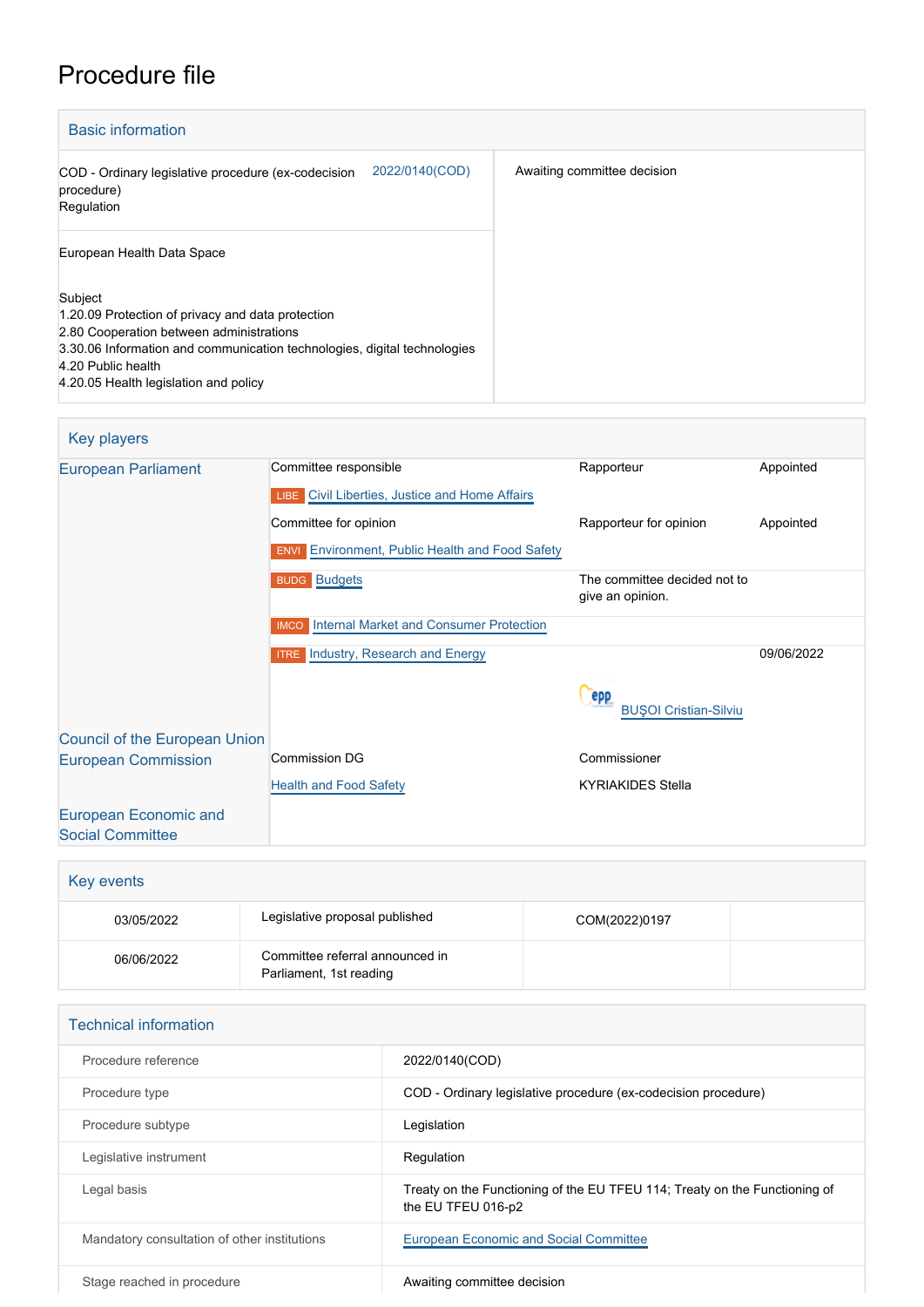## Procedure file

| <b>Basic information</b>                                                                                                                                                                                                                            |                             |
|-----------------------------------------------------------------------------------------------------------------------------------------------------------------------------------------------------------------------------------------------------|-----------------------------|
| 2022/0140(COD)<br>COD - Ordinary legislative procedure (ex-codecision<br>procedure)<br>Regulation                                                                                                                                                   | Awaiting committee decision |
| European Health Data Space                                                                                                                                                                                                                          |                             |
| Subject<br>1.20.09 Protection of privacy and data protection<br>2.80 Cooperation between administrations<br>3.30.06 Information and communication technologies, digital technologies<br>4.20 Public health<br>4.20.05 Health legislation and policy |                             |

## Key players [European Parliament](http://www.europarl.europa.eu/) Committee responsible Rapporteur Rapporteur Appointed **LIBE** [Civil Liberties, Justice and Home Affairs](http://www.europarl.europa.eu/committees/en/libe/home.html) Committee for opinion **Committee for opinion** Rapporteur for opinion Appointed **ENVI** [Environment, Public Health and Food Safety](http://www.europarl.europa.eu/committees/en/envi/home.html) [Budgets](http://www.europarl.europa.eu/committees/en/budg/home.html) **Budgets** The committee decided not to give an opinion. IMCO [Internal Market and Consumer Protection](http://www.europarl.europa.eu/committees/en/imco/home.html) **ITRE** [Industry, Research and Energy](http://www.europarl.europa.eu/committees/en/itre/home.html) 09/06/2022 Cepp [BUŞOI Cristian-Silviu](http://www.europarl.europa.eu/meps/en/38420) [Council of the European Union](http://www.consilium.europa.eu) [European Commission](http://ec.europa.eu/) Commission DG Commissioner **[Health and Food Safety](http://ec.europa.eu/info/departments/health-and-food-safety_en)** KYRIAKIDES Stella [European Economic and](http://www.eesc.europa.eu/) [Social Committee](http://www.eesc.europa.eu/)

| Key events |                                                            |               |  |
|------------|------------------------------------------------------------|---------------|--|
| 03/05/2022 | Legislative proposal published                             | COM(2022)0197 |  |
| 06/06/2022 | Committee referral announced in<br>Parliament, 1st reading |               |  |

| <b>Technical information</b>                 |                                                                                                  |  |  |  |
|----------------------------------------------|--------------------------------------------------------------------------------------------------|--|--|--|
| Procedure reference                          | 2022/0140(COD)                                                                                   |  |  |  |
| Procedure type                               | COD - Ordinary legislative procedure (ex-codecision procedure)                                   |  |  |  |
| Procedure subtype                            | Legislation                                                                                      |  |  |  |
| Legislative instrument                       | Regulation                                                                                       |  |  |  |
| Legal basis                                  | Treaty on the Functioning of the EU TFEU 114; Treaty on the Functioning of<br>the EU TFEU 016-p2 |  |  |  |
| Mandatory consultation of other institutions | European Economic and Social Committee                                                           |  |  |  |
| Stage reached in procedure                   | Awaiting committee decision                                                                      |  |  |  |